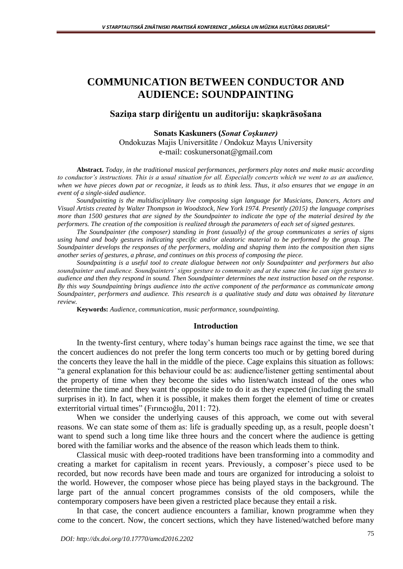# **COMMUNICATION BETWEEN CONDUCTOR AND AUDIENCE: SOUNDPAINTING**

# **Saziņa starp diriģentu un auditoriju: skaņkrāsošana**

**Sonats Kaskuners (***Sonat Coşkuner)* Ondokuzas Majis Universitāte / Ondokuz Mayıs University e-mail: [coskunersonat@gmail.com](mailto:coskunersonat@gmail.com)

**Abstract.** *Today, in the traditional musical performances, performers play notes and make music according*  to conductor's instructions. This is a usual situation for all. Especially concerts which we went to as an audience, *when we have pieces down pat or recognize, it leads us to think less. Thus, it also ensures that we engage in an event of a single-sided audience.*

*Soundpainting is the multidisciplinary live composing sign language for Musicians, Dancers, Actors and Visual Artists created by Walter Thompson in Woodstock, New York 1974. Presently (2015) the language comprises more than 1500 gestures that are signed by the Soundpainter to indicate the type of the material desired by the performers. The creation of the composition is realized through the parameters of each set of signed gestures.*

*The Soundpainter (the composer) standing in front (usually) of the group communicates a series of signs using hand and body gestures indicating specific and/or aleatoric material to be performed by the group. The Soundpainter develops the responses of the performers, molding and shaping them into the composition then signs another series of gestures, a phrase, and continues on this process of composing the piece.* 

*Soundpainting is a useful tool to create dialogue between not only Soundpainter and performers but also soundpainter and audience. Soundpainters' signs gesture to community and at the same time he can sign gestures to audience and then they respond in sound. Then Soundpainter determines the next instruction based on the response. By this way Soundpainting brings audience into the active component of the performance as communicate among Soundpainter, performers and audience. This research is a qualitative study and data was obtained by literature review.*

**Keywords:** *Audience, communication, music performance, soundpainting.*

#### **Introduction**

In the twenty-first century, where today's human beings race against the time, we see that the concert audiences do not prefer the long term concerts too much or by getting bored during the concerts they leave the hall in the middle of the piece. Cage explains this situation as follows: "a general explanation for this behaviour could be as: audience/listener getting sentimental about the property of time when they become the sides who listen/watch instead of the ones who determine the time and they want the opposite side to do it as they expected (including the small surprises in it). In fact, when it is possible, it makes them forget the element of time or creates exterritorial virtual times" (Fırıncıoğlu, 2011: 72).

When we consider the underlying causes of this approach, we come out with several reasons. We can state some of them as: life is gradually speeding up, as a result, people doesn't want to spend such a long time like three hours and the concert where the audience is getting bored with the familiar works and the absence of the reason which leads them to think.

Classical music with deep-rooted traditions have been transforming into a commodity and creating a market for capitalism in recent years. Previously, a composer's piece used to be recorded, but now records have been made and tours are organized for introducing a soloist to the world. However, the composer whose piece has being played stays in the background. The large part of the annual concert programmes consists of the old composers, while the contemporary composers have been given a restricted place because they entail a risk.

In that case, the concert audience encounters a familiar, known programme when they come to the concert. Now, the concert sections, which they have listened/watched before many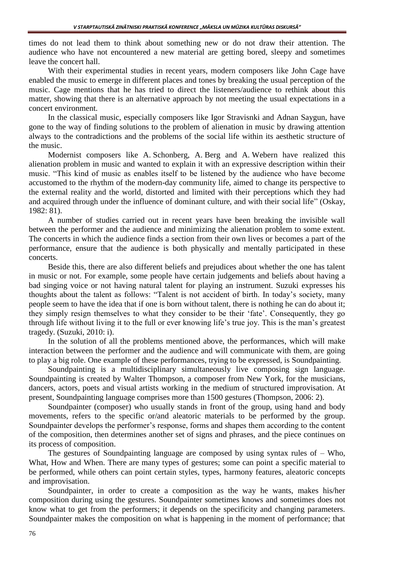times do not lead them to think about something new or do not draw their attention. The audience who have not encountered a new material are getting bored, sleepy and sometimes leave the concert hall.

With their experimental studies in recent years, modern composers like John Cage have enabled the music to emerge in different places and tones by breaking the usual perception of the music. Cage mentions that he has tried to direct the listeners/audience to rethink about this matter, showing that there is an alternative approach by not meeting the usual expectations in a concert environment.

In the classical music, especially composers like Igor Stravisnki and Adnan Saygun, have gone to the way of finding solutions to the problem of alienation in music by drawing attention always to the contradictions and the problems of the social life within its aesthetic structure of the music.

Modernist composers like A. Schonberg, A. Berg and A. Webern have realized this alienation problem in music and wanted to explain it with an expressive description within their music. "This kind of music as enables itself to be listened by the audience who have become accustomed to the rhythm of the modern-day community life, aimed to change its perspective to the external reality and the world, distorted and limited with their perceptions which they had and acquired through under the influence of dominant culture, and with their social life" (Oskay, 1982: 81).

A number of studies carried out in recent years have been breaking the invisible wall between the performer and the audience and minimizing the alienation problem to some extent. The concerts in which the audience finds a section from their own lives or becomes a part of the performance, ensure that the audience is both physically and mentally participated in these concerts.

Beside this, there are also different beliefs and prejudices about whether the one has talent in music or not. For example, some people have certain judgements and beliefs about having a bad singing voice or not having natural talent for playing an instrument. Suzuki expresses his thoughts about the talent as follows: "Talent is not accident of birth. In today's society, many people seem to have the idea that if one is born without talent, there is nothing he can do about it; they simply resign themselves to what they consider to be their 'fate'. Consequently, they go through life without living it to the full or ever knowing life's true joy. This is the man's greatest tragedy. (Suzuki, 2010: i).

In the solution of all the problems mentioned above, the performances, which will make interaction between the performer and the audience and will communicate with them, are going to play a big role. One example of these performances, trying to be expressed, is Soundpainting.

Soundpainting is a multidisciplinary simultaneously live composing sign language. Soundpainting is created by Walter Thompson, a composer from New York, for the musicians, dancers, actors, poets and visual artists working in the medium of structured improvisation. At present, Soundpainting language comprises more than 1500 gestures (Thompson, 2006: 2).

Soundpainter (composer) who usually stands in front of the group, using hand and body movements, refers to the specific or/and aleatoric materials to be performed by the group. Soundpainter develops the performer's response, forms and shapes them according to the content of the composition, then determines another set of signs and phrases, and the piece continues on its process of composition.

The gestures of Soundpainting language are composed by using syntax rules of – Who, What, How and When. There are many types of gestures; some can point a specific material to be performed, while others can point certain styles, types, harmony features, aleatoric concepts and improvisation.

Soundpainter, in order to create a composition as the way he wants, makes his/her composition during using the gestures. Soundpainter sometimes knows and sometimes does not know what to get from the performers; it depends on the specificity and changing parameters. Soundpainter makes the composition on what is happening in the moment of performance; that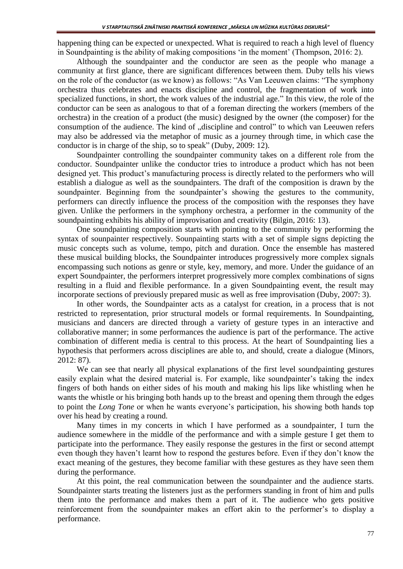happening thing can be expected or unexpected. What is required to reach a high level of fluency in Soundpainting is the ability of making compositions 'in the moment' (Thompson, 2016: 2).

Although the soundpainter and the conductor are seen as the people who manage a community at first glance, there are significant differences between them. Duby tells his views on the role of the conductor (as we know) as follows: "As Van Leeuwen claims: "The symphony orchestra thus celebrates and enacts discipline and control, the fragmentation of work into specialized functions, in short, the work values of the industrial age." In this view, the role of the conductor can be seen as analogous to that of a foreman directing the workers (members of the orchestra) in the creation of a product (the music) designed by the owner (the composer) for the consumption of the audience. The kind of "discipline and control" to which van Leeuwen refers may also be addressed via the metaphor of music as a journey through time, in which case the conductor is in charge of the ship, so to speak" (Duby, 2009: 12).

Soundpainter controlling the soundpainter community takes on a different role from the conductor. Soundpainter unlike the conductor tries to introduce a product which has not been designed yet. This product's manufacturing process is directly related to the performers who will establish a dialogue as well as the soundpainters. The draft of the composition is drawn by the soundpainter. Beginning from the soundpainter's showing the gestures to the community, performers can directly influence the process of the composition with the responses they have given. Unlike the performers in the symphony orchestra, a performer in the community of the soundpainting exhibits his ability of improvisation and creativity (Bilgin, 2016: 13).

One soundpainting composition starts with pointing to the community by performing the syntax of sounpainter respectively. Sounpainting starts with a set of simple signs depicting the music concepts such as volume, tempo, pitch and duration. Once the ensemble has mastered these musical building blocks, the Soundpainter introduces progressively more complex signals encompassing such notions as genre or style, key, memory, and more. Under the guidance of an expert Soundpainter, the performers interpret progressively more complex combinations of signs resulting in a fluid and flexible performance. In a given Soundpainting event, the result may incorporate sections of previously prepared music as well as free improvisation (Duby, 2007: 3).

In other words, the Soundpainter acts as a catalyst for creation, in a process that is not restricted to representation, prior structural models or formal requirements. In Soundpainting, musicians and dancers are directed through a variety of gesture types in an interactive and collaborative manner; in some performances the audience is part of the performance. The active combination of different media is central to this process. At the heart of Soundpainting lies a hypothesis that performers across disciplines are able to, and should, create a dialogue (Minors, 2012: 87).

We can see that nearly all physical explanations of the first level soundpainting gestures easily explain what the desired material is. For example, like soundpainter's taking the index fingers of both hands on either sides of his mouth and making his lips like whistling when he wants the whistle or his bringing both hands up to the breast and opening them through the edges to point the *Long Tone* or when he wants everyone's participation, his showing both hands top over his head by creating a round.

Many times in my concerts in which I have performed as a soundpainter, I turn the audience somewhere in the middle of the performance and with a simple gesture I get them to participate into the performance. They easily response the gestures in the first or second attempt even though they haven't learnt how to respond the gestures before. Even if they don't know the exact meaning of the gestures, they become familiar with these gestures as they have seen them during the performance.

At this point, the real communication between the soundpainter and the audience starts. Soundpainter starts treating the listeners just as the performers standing in front of him and pulls them into the performance and makes them a part of it. The audience who gets positive reinforcement from the soundpainter makes an effort akin to the performer's to display a performance.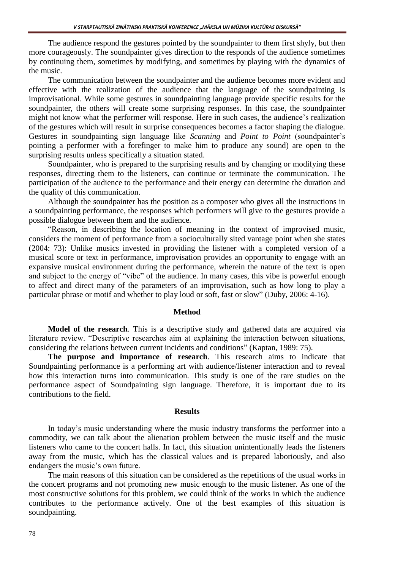The audience respond the gestures pointed by the soundpainter to them first shyly, but then more courageously. The soundpainter gives direction to the responds of the audience sometimes by continuing them, sometimes by modifying, and sometimes by playing with the dynamics of the music.

The communication between the soundpainter and the audience becomes more evident and effective with the realization of the audience that the language of the soundpainting is improvisational. While some gestures in soundpainting language provide specific results for the soundpainter, the others will create some surprising responses. In this case, the soundpainter might not know what the performer will response. Here in such cases, the audience's realization of the gestures which will result in surprise consequences becomes a factor shaping the dialogue. Gestures in soundpainting sign language like *Scanning* and *Point to Point* (soundpainter's pointing a performer with a forefinger to make him to produce any sound) are open to the surprising results unless specifically a situation stated.

Soundpainter, who is prepared to the surprising results and by changing or modifying these responses, directing them to the listeners, can continue or terminate the communication. The participation of the audience to the performance and their energy can determine the duration and the quality of this communication.

Although the soundpainter has the position as a composer who gives all the instructions in a soundpainting performance, the responses which performers will give to the gestures provide a possible dialogue between them and the audience.

"Reason, in describing the location of meaning in the context of improvised music, considers the moment of performance from a socioculturally sited vantage point when she states (2004: 73): Unlike musics invested in providing the listener with a completed version of a musical score or text in performance, improvisation provides an opportunity to engage with an expansive musical environment during the performance, wherein the nature of the text is open and subject to the energy of "vibe" of the audience. In many cases, this vibe is powerful enough to affect and direct many of the parameters of an improvisation, such as how long to play a particular phrase or motif and whether to play loud or soft, fast or slow" (Duby, 2006: 4-16).

#### **Method**

**Model of the research**. This is a descriptive study and gathered data are acquired via literature review. "Descriptive researches aim at explaining the interaction between situations, considering the relations between current incidents and conditions" (Kaptan, 1989: 75).

**The purpose and importance of research**. This research aims to indicate that Soundpainting performance is a performing art with audience/listener interaction and to reveal how this interaction turns into communication. This study is one of the rare studies on the performance aspect of Soundpainting sign language. Therefore, it is important due to its contributions to the field.

## **Results**

In today's music understanding where the music industry transforms the performer into a commodity, we can talk about the alienation problem between the music itself and the music listeners who came to the concert halls. In fact, this situation unintentionally leads the listeners away from the music, which has the classical values and is prepared laboriously, and also endangers the music's own future.

The main reasons of this situation can be considered as the repetitions of the usual works in the concert programs and not promoting new music enough to the music listener. As one of the most constructive solutions for this problem, we could think of the works in which the audience contributes to the performance actively. One of the best examples of this situation is soundpainting.